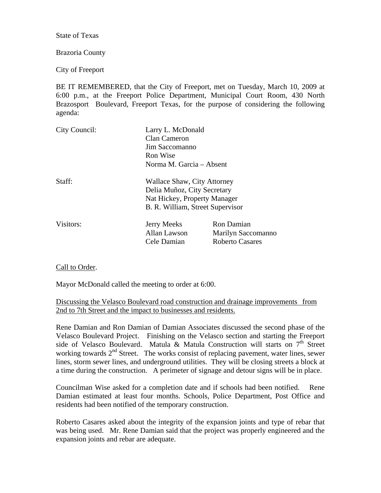State of Texas

## Brazoria County

City of Freeport

BE IT REMEMBERED, that the City of Freeport, met on Tuesday, March 10, 2009 at 6:00 p.m., at the Freeport Police Department, Municipal Court Room, 430 North Brazosport Boulevard, Freeport Texas, for the purpose of considering the following agenda:

| Larry L. McDonald                |                                    |
|----------------------------------|------------------------------------|
| Clan Cameron                     |                                    |
| Jim Saccomanno                   |                                    |
| Ron Wise                         |                                    |
| Norma M. Garcia - Absent         |                                    |
|                                  |                                    |
| Delia Muñoz, City Secretary      |                                    |
| Nat Hickey, Property Manager     |                                    |
| B. R. William, Street Supervisor |                                    |
| <b>Jerry Meeks</b>               | Ron Damian                         |
| Allan Lawson                     | Marilyn Saccomanno                 |
| Cele Damian                      | <b>Roberto Casares</b>             |
|                                  | <b>Wallace Shaw, City Attorney</b> |

## Call to Order.

Mayor McDonald called the meeting to order at 6:00.

## Discussing the Velasco Boulevard road construction and drainage improvements from 2nd to 7th Street and the impact to businesses and residents.

Rene Damian and Ron Damian of Damian Associates discussed the second phase of the Velasco Boulevard Project. Finishing on the Velasco section and starting the Freeport side of Velasco Boulevard. Matula & Matula Construction will starts on  $7<sup>th</sup>$  Street working towards  $2<sup>nd</sup>$  Street. The works consist of replacing pavement, water lines, sewer lines, storm sewer lines, and underground utilities. They will be closing streets a block at a time during the construction. A perimeter of signage and detour signs will be in place.

Councilman Wise asked for a completion date and if schools had been notified. Rene Damian estimated at least four months. Schools, Police Department, Post Office and residents had been notified of the temporary construction.

Roberto Casares asked about the integrity of the expansion joints and type of rebar that was being used. Mr. Rene Damian said that the project was properly engineered and the expansion joints and rebar are adequate.